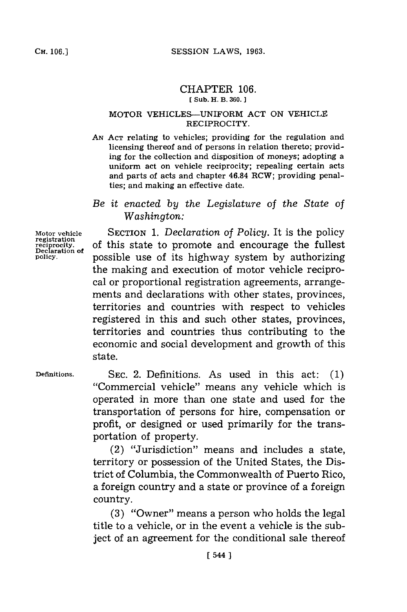## CHAPTER **106. C(Sub. H. B. 360.]**

## MOTOR VEHICLES-UNIFORM **ACT ON** VEHICLE RECIPROCITY.

*AN* **ACT** relating to vehicles; providing for the regulation and licensing thereof and of persons in relation thereto; providing for the collection and disposition of moneys; adopting a uniform act on vehicle reciprocity; repealing certain acts and parts of acts and chapter 46.84 RCW; providing penalties; and making an effective date.

## *Be it enacted by the Legislature of the State of Washington:*

**Motor vehicle registration registration**<br>reciprocity.<br>Declaration of **policy.**

**SECTION 1.** *Declaration of Policy.* It is the policy of this state to promote and encourage the fullest possible use of its highway system **by** authorizing the making and execution of motor vehicle reciprocal or proportional registration agreements, arrangements and declarations with other states, provinces, territories and countries with respect to vehicles registered in this and such other states, provinces, territories and countries thus contributing to the economic and social development and growth of this state.

**Definitions.**

**SEC.** 2. Definitions. As used in this act: **(1)** "Commercial vehicle" means any vehicle which is operated in more than one state and used for the transportation of persons for hire, compensation or profit, or designed or used primarily for the transportation of property.

(2) "Jurisdiction" means and includes a state, territory or possession of the United States, the District of Columbia, the Commonwealth of Puerto Rico, a foreign country and a state or province of a foreign country.

**(3)** "Owner" means a person who holds the legal title to a vehicle, or in the event a vehicle is the subject of an agreement for the conditional sale thereof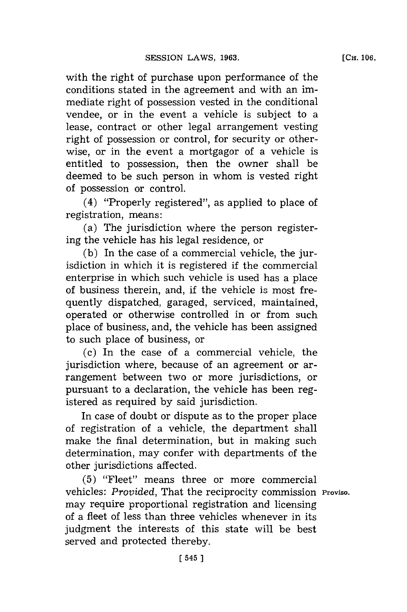with the right of purchase upon performance of the conditions stated in the agreement and with an immediate right of possession vested in the conditional vendee, or in the event a vehicle is subject to a lease, contract or other legal arrangement vesting right of possession or control, for security or otherwise, or in the event a mortgagor of a vehicle is entitled to possession, then the owner shall be deemed to be such person in whom is vested right of possession or control.

(4) "Properly registered", as applied to place of registration, means:

(a) The jurisdiction where the person registering the vehicle has his legal residence, or

**(b)** In the case of a commercial vehicle, the jurisdiction in which it is registered if the commercial enterprise in which such vehicle is used has a place of business therein, and, if the vehicle is most frequently dispatched, garaged, serviced, maintained, operated or otherwise controlled in or from such place of business, and, the vehicle has been assigned to such place of business, or

(c) In the case of a commercial vehicle, the jurisdiction where, because of an agreement or arrangement between two or more jurisdictions, or pursuant to a declaration, the vehicle has been registered as required **by** said jurisdiction.

In case of doubt or dispute as to the proper place of registration of a vehicle, the department shall make the final determination, but in making such determination, may confer with departments of the other jurisdictions affected.

**(5)** "Fleet" means three or more commercial vehicles: *Provided,* That the reciprocity commission **Proviso.** may require proportional registration and licensing of a fleet of less than three vehicles whenever in its judgment the interests of this state will be best served and protected thereby.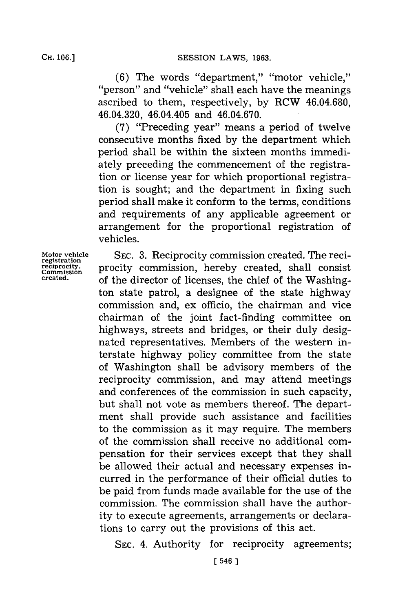(6) The words "department," "motor vehicle," "person" and "vehicle" shall each have the meanings ascribed to them, respectively, **by** RCW 46.04.680, 46.04.320, 46.04.405 and 46.04.670.

**(7)** "Preceding year" means a period of twelve consecutive months fixed **by** the department which period shall be within the sixteen months immediately preceding the commencement of the registration or license year for which proportional registration is sought; and the department in fixing such period shall make it conform to the terms, conditions and requirements of any applicable agreement or arrangement for the proportional registration of vehicles.

registration<br>reciprocity.<br>Commission

**Motor vehicle SEC. 3.** Reciprocity commission created. The reciregistration.<br>**Commission**<br>created. **of the director of ligences** the chief of the Weshing of the director of licenses, the chief of the Washington state patrol, a designee of the state highway commission and, ex officio, the chairman and vice chairman of the joint fact-finding committee on highways, streets and bridges, or their duly designated representatives. Members of the western interstate highway policy committee from the state of Washington shall be advisory members of the reciprocity commission, and may attend meetings and conferences of the commission in such capacity, but shall not vote as members thereof. The department shall provide such assistance and facilities to the commission as it may require. The members of the commission shall receive no additional compensation for their services except that they shall be allowed their actual and necessary expenses incurred in the performance of their official duties to be paid from funds made available **for** the use of the commission. The commission shall have the authority to execute agreements, arrangements or declarations to carry out the provisions of this act.

**SEC.** 4. Authority for reciprocity agreements;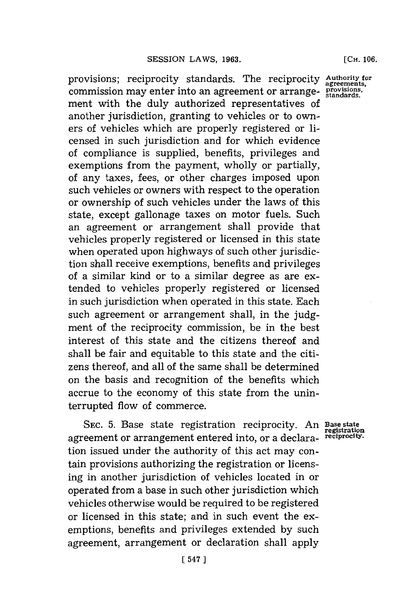**[CH. 106.**

provisions; reciprocity standards. The reciprocity **Authority for** commission may enter into an agreement or arrange- **provisions** ment with the duly authorized representatives of another jurisdiction, granting to vehicles or to owners of vehicles which are properly registered or licensed in such jurisdiction and for which evidence of compliance is supplied, benefits, privileges and exemptions from the payment, wholly or partially, of any taxes, fees, or other charges imposed upon such vehicles or owners with respect to the operation or ownership of such vehicles under the laws of this state, except gallonage taxes on motor fuels. Such an agreement or arrangement shall provide that vehicles properly registered or licensed in this state when operated upon highways of such other jurisdiction shall receive exemptions, benefits and privileges of a similar kind or to a similar degree as are extended to vehicles properly registered or licensed in such jurisdiction when operated in this state. Each such agreement or arrangement shall, in the **judg**ment of the reciprocity commission, be in the best interest of this state and the citizens thereof and shall be fair and equitable to this state and the citizens thereof, and all of the same shall be determined on the basis and recognition of the benefits which accrue to the economy of this state from the uninterrupted flow of commerce.

SEC. 5. Base state registration reciprocity. An Base state agreement or arrangement entered into, or a declara- **rciprocity.** tion issued under the authority of this act may contain provisions authorizing the registration or licensing in another jurisdiction of vehicles located in or operated from a base in such other jurisdiction which vehicles otherwise would be required to be registered or licensed in this state; and in such event the exemptions, benefits and privileges extended **by** such agreement, arrangement or declaration shall apply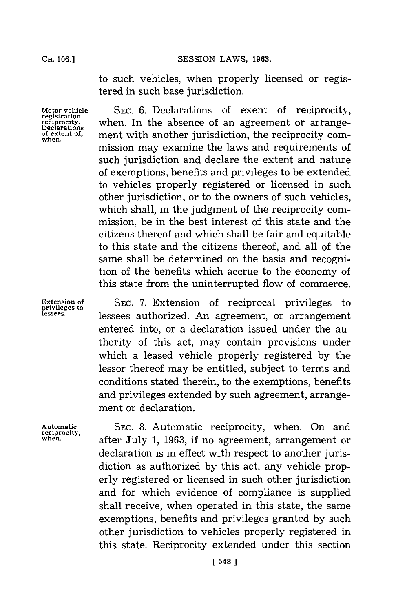to such vehicles, when properly licensed or registered in such base jurisdiction.

**when.**

**Motor vehicle SEC. 6.** Declarations of exent of reciprocity, **registration reciprocity.** when. In the absence of an agreement or arrange-<br>Declarations<br>of extent of ment with another jurisdiction the reciprocity comment with another jurisdiction, the reciprocity commission may examine the laws and requirements of such jurisdiction and declare the extent and nature of exemptions, benefits and privileges to be extended to vehicles properly registered or licensed in such other jurisdiction, or to the owners of such vehicles, which shall, in the judgment of the reciprocity commission, be in the best interest of this state and the citizens thereof and which shall be fair and equitable to this state and the citizens thereof, and all of the same shall be determined on the basis and recognition of the benefits which accrue to the economy of this state from the uninterrupted flow of commerce.

Extension of SEC. 7. Extension of reciprocal privileges to lessees authorized. An agreement, or arrangement entered into, or a declaration issued under the authority of this act, may contain provisions under which a leased vehicle properly registered **by** the lessor thereof may be entitled, subject to terms and conditions stated therein, to the exemptions, benefits and privileges extended **by** such agreement, arrangement or declaration.

**Automatic SEC. 8.** Automatic reciprocity, when. On and **when,** after July **1, 1963,** if no agreement, arrangement or declaration is in effect with respect to another jurisdiction as authorized **by** this act, any vehicle properly registered or licensed in such other jurisdiction and for which evidence of compliance is supplied shall receive, when operated in this state, the same exemptions, benefits and privileges granted **by** such other jurisdiction to vehicles properly registered in this state. Reciprocity extended under this section

**privileges to**

**reciprocity,**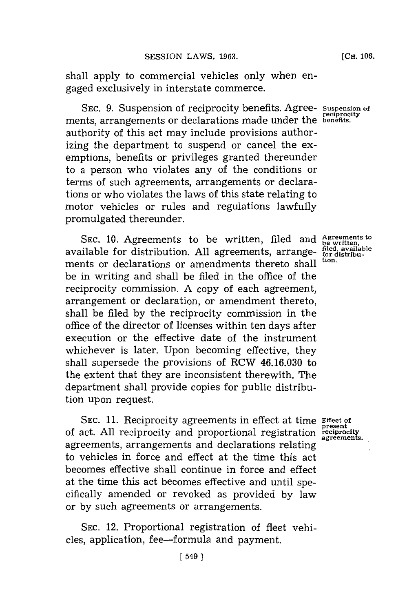shall apply to commercial vehicles only when engaged exclusively in interstate commerce.

**SEC. 9.** Suspension of reciprocity benefits. Agree- **Suspension of** ments, arrangements or declarations made under the **benefits**. authority of this act may include provisions authorizing the department to suspend or cancel the exemptions, benefits or privileges granted thereunder to a person who violates any of the conditions or terms of such agreements, arrangements or declarations or who violates the laws of this state relating to motor vehicles or rules and regulations lawfully promulgated thereunder.

**SEC. 10.** Agreements to be written, filed and available for distribution. **All** agreements, arrangements or declarations or amendments thereto shall be in writing and shall be filed in the office of the reciprocity commission. **A** copy of each agreement, arrangement or declaration, or amendment thereto, shall be filed **by** the reciprocity commission in the office of the director of licenses within ten days after execution or the effective date of the instrument whichever is later. Upon becoming effective, they shall supersede the provisions of RCW **46.16.030** to the extent that they are inconsistent therewith. The department shall provide copies for public distribution upon request.

SEC. **11.** Reciprocity agreements in effect at time **Effect of** of act. **All** reciprocity and proportional registration **present reciprocity agreements.** agreements, arrangements and declarations relating to vehicles in force and effect at the time this act becomes effective shall continue in force and effect at the time this act becomes effective and until specifically amended or revoked as provided **by** law or **by** such agreements or arrangements.

SEC. 12. Proportional registration of fleet vehicles, application, fee-formula and payment.

**[** 549]

**reciprocit**

**Agreements to be written. filed, available for distribution.**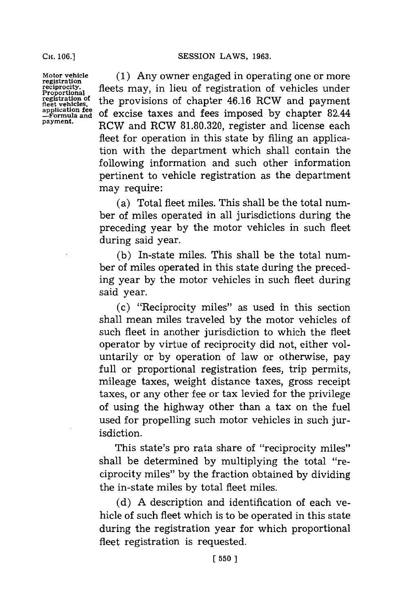**CH. 06.]SESSION** LAWS, **1963.**

**Motor vehicle registration reciprocity. Proportional registration of fleet vehicles, application fe -Formula and payment.**

**(1)** Any owner engaged in operating one or more fleets may, in lieu of registration of vehicles under the provisions of chapter 46.16 RCW and payment of excise taxes and fees imposed **by** chapter 82.44 RCW and RCW **81.80.320,** register and license each fleet for operation in this state by filing an application with the department which shall contain the following information and such other information pertinent to vehicle registration as the department may require:

(a) Total fleet miles. This shall be the total number of miles operated in all jurisdictions during the preceding year **by** the motor vehicles in such fleet during said year.

**(b)** In-state miles. This shall be the total number of miles operated in this state during the preceding year **by** the motor vehicles in such fleet during said year.

(c) "Reciprocity miles" as used in this section shall mean miles traveled **by** the motor vehicles of such fleet in another jurisdiction to which the fleet operator **by** virtue of reciprocity did not, either voluntarily or **by** operation of law or otherwise, pay full or proportional registration fees, trip permits, mileage taxes, weight distance taxes, gross receipt taxes, or any other **fee** or tax levied **for** the privilege of using the highway other than a tax on the fuel used for propelling such motor vehicles in such jurisdiction.

This state's pro rata share of "reciprocity miles" shall he determined **by** multiplying the total "reciprocity miles" **by** the fraction obtained **by** dividing the in-state miles **by** total fleet miles.

**(d) A** description and identification of each vehicle of such fleet which is to be operated in this state during the registration year for which proportional fleet registration is requested.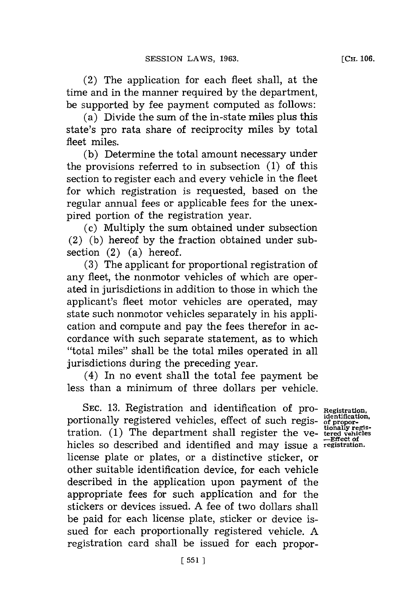(2) The application for each fleet shall, at the time and in the manner required **by** the department, be supported **by** fee payment computed as follows:

(a) Divide the sum of the in-state miles plus this state's pro rata share of reciprocity miles **by** total fleet miles.

**(b)** Determine the total amount necessary under the provisions referred to in subsection **(1)** of this section to register each and every vehicle in the fleet for which registration is requested, based on the regular annual fees or applicable fees for the unexpired portion of the registration year.

(c) Multiply the sum obtained under subsection (2) **(b)** hereof **by** the fraction obtained under subsection (2) (a) hereof.

(3) The applicant for proportional registration of any fleet, the nonmotor vehicles of which are operated in jurisdictions in addition to those in which the applicant's fleet motor vehicles are operated, may state such nonmotor vehicles separately in his application and compute and pay the fees therefor in accordance with such separate statement, as to which "total miles" shall be the total miles operated in all jurisdictions during the preceding year.

(4) In no event shall the total fee payment be less than a minimum of three dollars per vehicle.

SEC. 13. Registration and identification of pro- *Registration*, portionally registered vehicles, effect of such regis- of properties and property tration. **(1)** The department shall register the ye- **terdveicles** hidles so described and identified and may issue a **registration.** license plate or plates, or a distinctive sticker, or other suitable identification device, for each vehicle described in the application upon payment of the appropriate fees for such application and for the stickers or devices issued. **A** fee of two dollars shall be paid for each license plate, sticker or device issued for each proportionally registered vehicle. **A** registration card shall be issued for each propor-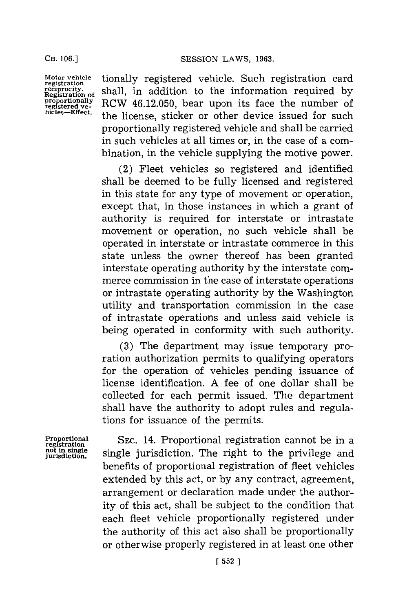**Motor vehicle registration reciprocity. Registration of proportonally registerd ve- hicles-Effect.**

tionally registered vehicle. Such registration card shall, in addition to the information required **by** RCW 46.12.050, bear upon its face the number of the license, sticker or other device issued for such proportionally registered vehicle and shall be carried in such vehicles at all times or, in the case of a combination, in the vehicle supplying the motive power.

(2) Fleet vehicles so registered and identified shall be deemed to be fully licensed and registered in this state for any type of movement or operation, except that, in those instances in which a grant of authority is required for interstate or intrastate movement or operation, no such vehicle shall be operated in interstate or intrastate commerce in this state unless the owner thereof has been granted interstate operating authority **by** the interstate commerce commission in the case of interstate operations or intrastate operating authority **by** the Washington utility and transportation commission in the case of intrastate operations and unless said vehicle is being operated in conformity with such authority.

**(3)** The department may issue temporary proration authorization permits to qualifying operators for the operation of vehicles pending issuance of license identification. **A** fee of one dollar shall be collected for each permit issued. The department shall have the authority to adopt rules and regulations for issuance of the permits.

**Proportional registration not in single jurisdiction.**

**SEC.** 14. Proportional registration cannot be in a single jurisdiction. The right to the privilege and benefits of proportional registration of fleet vehicles extended **by** this act, or **by** any contract, agreement, arrangement or declaration made under the authority of this act, shall be subject to the condition that each fleet vehicle proportionally registered under the authority of this act also shall be proportionally or otherwise properly registered in at least one other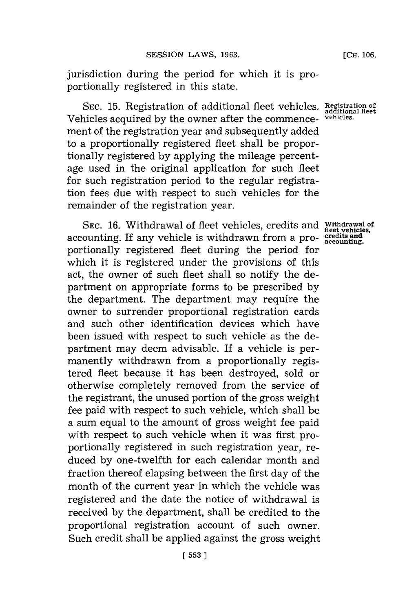jurisdiction during the period for which it is proportionally registered in this state.

SEC. 15. Registration of additional fleet vehicles. Registration of<br> **Registration** of additional fleet the commence, <sup>vehicles.</sub></sup> Vehicles acquired **by** the owner after the commencement of the registration year and subsequently added to a proportionally registered fleet shall be proportionally registered **by** applying the mileage percentage used in the original application for such fleet for such registration period to the regular registration fees due with respect to such vehicles for the remainder of the registration year.

**SEC. 16.** Withdrawal of fleet vehicles, credits and accounting. If any vehicle is withdrawn from a proportionally registered fleet during the period for which it is registered under the provisions of this act, the owner of such fleet shall so notify the department on appropriate forms to be prescribed **by** the department. The department may require the owner to surrender proportional registration cards and such other identification devices which have been issued with respect to such vehicle as the department may deem advisable. If a vehicle is permanently withdrawn from a proportionally registered fleet because it has been destroyed, sold or otherwise completely removed from the service of the registrant, the unused portion of the gross weight fee paid with respect to such vehicle, which shall be a sum equal to the amount of gross weight fee paid with respect to such vehicle when it was first proportionally registered in such registration year, reduced **by** one-twelfth for each calendar month and fraction thereof elapsing between the first day of the month of the current year in which the vehicle was registered and the date the notice of withdrawal is received **by** the department, shall be credited to the proportional registration account of such owner. Such credit shall be applied against the gross weight

**Withdrawal of fleet vehicles, credits and accounting.**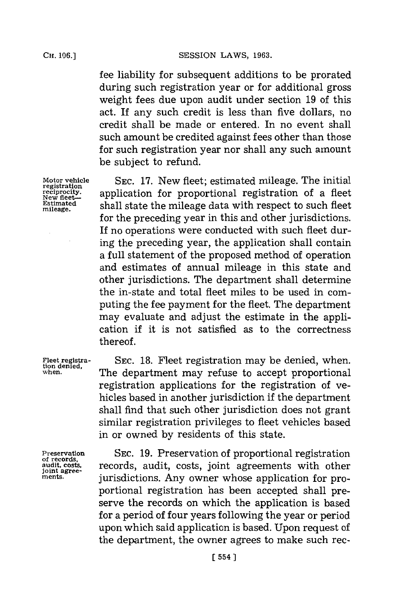fee liability for subsequent additions to be prorated during such registration year or for additional gross weight fees due upon audit under section **19** of this act. If any such credit is less than five dollars, no credit shall be made or entered. In no event shall such amount be credited against fees other than those for such registration year nor shall any such amount be subject to refund.

**Motor vehicle SEC. 17.** New fleet; estimated mileage. The initial **registration registration required**<br> **registration** of a fleet<br> **Ristimated** chall state the mileage data with recoget to such fleet Estimated shall state the mileage data with respect to such fleet for the preceding year in this and other jurisdictions. If no operations were conducted with such fleet during the preceding year, the application shall contain a full statement of the proposed method of operation and estimates of annual mileage in this state and other jurisdictions. The department shall determine the in-state and total fleet miles to be used in computing the fee payment for the fleet. The department may evaluate and adjust the estimate in the application if it is not satisfied as to the correctness thereof.

**Fleet registra- SEC. 18.** Fleet registration may be denied, when. **tion denied, when.** The department may refuse to accept proportional registration applications for the registration of vehicles based in another jurisdiction if the department shall find that such other jurisdiction does not grant similar registration privileges to fleet vehicles based in or owned **by** residents of this state.

Preservation SEC. 19. Preservation of proportional registration of records,<br>and records, records, audit, costs, joint agreements with other<br>joint agree. iurisdictions. Any owner whose application for proportional registration has been accepted shall preserve the records on which the application is based for a period of four years following the year or period upon which said application is based. Upon request of the department, the owner agrees to make such rec-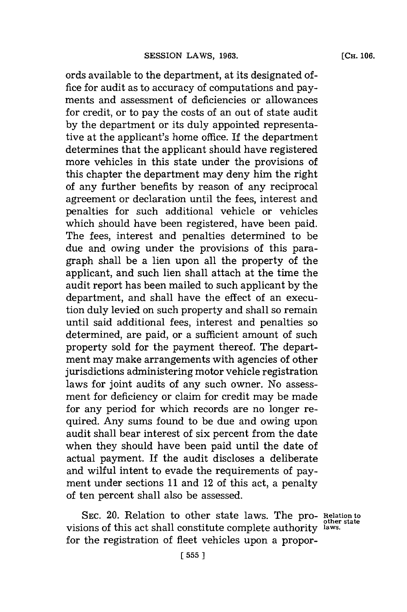ords available to the department, at its designated of  fice for audit as to accuracy of computations and payments and assessment of deficiencies or allowances for credit, or to pay the costs of an out of state audit **by** the department or its duly appointed representative at the applicant's home office. **If** the department determines that the applicant should have registered more vehicles in this state under the provisions of this chapter the department may deny him the right of any further benefits **by** reason of any reciprocal agreement or declaration until the fees, interest and penalties for such additional vehicle or vehicles which should have been registered, have been paid. The fees, interest and penalties determined to be due and owing under the provisions of this paragraph shall be a lien upon all the property of the applicant, and such lien shall attach at the time the audit report has been mailed to such applicant **by** the department, and shall have the effect of an execution duly levied on such property and shall so remain until said additional fees, interest and penalties so determined, are paid, or a sufficient amount of such property sold for the payment thereof. The department may make arrangements with agencies of other jurisdictions administering motor vehicle registration laws for joint audits of any such owner. No assessment for deficiency or claim for credit may be made for any period for which records are no longer required. Any sums found to be due and owing upon audit shall bear interest of six percent from the date when they should have been paid until the date of actual payment. If the audit discloses a deliberate and wilful intent to evade the requirements of payment under sections **11** and 12 of this act, a penalty of ten percent shall also be assessed.

SEC. 20. Relation to other state laws. The pro- **Relation to**<br>visions of this act shall constitute complete authority **laws.** for the registration of fleet vehicles upon a propor-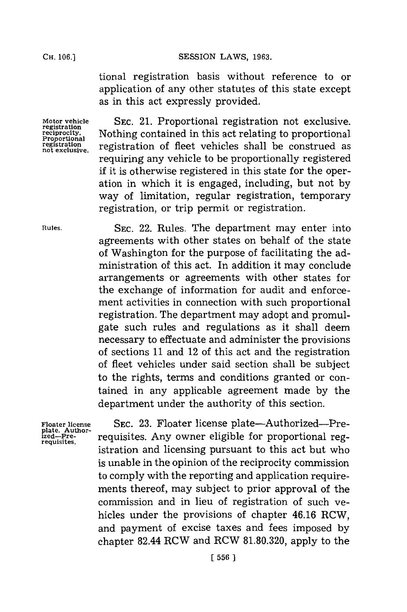## CH. **06.]SESSION** LAWS, **1963.**

tional registration basis without reference to or application of any other statutes of this state except as in this act expressly provided.

Motor vehicle **SEC. 21. Proportional registration not exclusive.**<br> **registration**<br> **regiprocity.** Nothing contained in this act relating to proportional reciprocity. Nothing contained in this act relating to proportional Proportional registration of fleet vehicles shall be construed as neglistration of fleet vehicles shall be construed as registration of fleet vehicles shall be construed as requiring any vehicle to be proportionally registered **if** it is otherwise registered in this state for the operation in which it is engaged, including, but not **by** way of limitation, regular registration, temporary registration, or trip permit or registration.

**Rules.** SEC. 22. Rules. The department may enter into agreements with other states on behalf of the state of Washington for the purpose of facilitating the administration of this act. In addition it may conclude arrangements or agreements with other states for the exchange of information for audit and enforcement activities in connection with such proportional registration. The department may adopt and promulgate such rules and regulations as it shall deem necessary to effectuate and administer the provisions of sections **11** and 12 of this act and the registration of fleet vehicles under said section shall be subject to the rights, terms and conditions granted or contained in any applicable agreement made **by** the department under the authority of this section.

Floater license **SEC. 23. Floater license plate—Authorized—Pre-** plate. Author-<br>
<u>plate</u>, Author-<br>
<u>ized</u>—Pre- *requisites* Any owner eligible for proportional reg**ized-Pre-** requisites. Any owner eligible for proportional reg- **requisites.** istration and licensing pursuant to this act but who is unable in the opinion of the reciprocity commission to comply with the reporting and application requirements thereof, may subject to prior approval of the commission and in lieu of registration of such vehicles under the provisions of chapter 46.16 RCW, and payment of excise taxes and fees imposed **by** chapter 82.44 RCW and RCW **81.80.320,** apply to the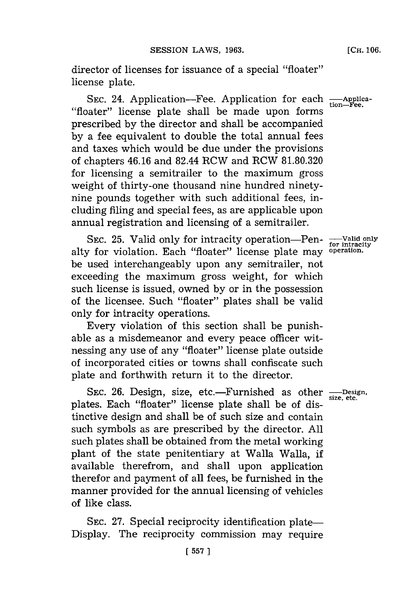director of licenses **for** issuance of a special "floater" license plate.

SEC. 24. Application-Fee. Application for each  $\frac{A}{\text{tion}-1}$ "floater" license plate shall be made upon forms prescribed **by** the director and shall be accompanied **by** a fee equivalent to double the total annual fees and taxes which would be due under the provisions of chapters 46.16 and 82.44 RCW and RCW **81.80.320** for licensing a semitrailer to the maximum gross weight of thirty-one thousand nine hundred ninetynine pounds together with such additional fees, including filing and special fees, as are applicable upon annual registration and licensing of a semitrailer.

SEC. 25. Valid only for intracity operation-Penalty for violation. Each "floater" license plate may operation. be used interchangeably upon any semitrailer, not exceeding the maximum gross weight, for which such license is issued, owned **by** or in the possession of the licensee. Such "floater" plates shall be valid only for intracity operations.

Every violation of this section shall be punishable as a misdemeanor and every peace officer witnessing any use of any "floater" license plate outside of incorporated cities or towns shall confiscate such plate and forthwith return it to the director.

SEC. 26. Design, size, etc.—Furnished as other <sub>size, etc.</sub> **size, etc.** plates. Each "floater" license plate shall be of distinctive design and shall be of such size and contain such symbols as are prescribed **by** the director. **All** such plates shall be obtained from the metal working plant of the state penitentiary at Walla Walla, if available therefrom, and shall upon application therefor and payment of all fees, be furnished in the manner provided for the annual licensing of vehicles of like class.

SEC. 27. Special reciprocity identification plate-Display. The reciprocity commission may require

**-Valid only for intracity operation.**

**tion-Fee.**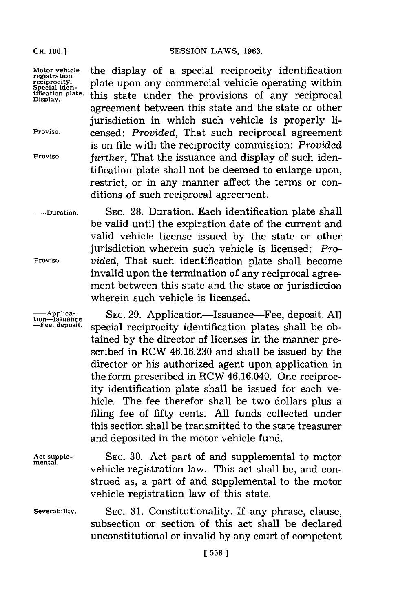**CH. 06.]SESSION LAWS, 1963.**

agreement between this state and the state or other jurisdiction in which such vehicle is properly li-

is on file with the reciprocity commission: *Provided*

tification plate shall not be deemed to enlarge upon, restrict, or in any manner affect the terms or con-

ditions of such reciprocal agreement.

Motor vehicle **the display of a special reciprocity identification**<br>registration<br>regiprocity. **plate upon any commercial vehicle operating within** registration.<br>
Special iden-<br>
tification plate. this state under the provisions of any reciprocal tification plate. this state under the provisions of any reciprocal

**Proviso.** censed: *Provided,* That such reciprocal agreement

**Proviso,** *further,* That the issuance and display of such iden-

**-Duration. SEC. 28.** Duration. Each identification plate shall be valid until the expiration date of the current and valid vehicle license issued **by** the state or other jurisdiction wherein such vehicle is licensed: *Pro-***Proviso.** *vided,* That such identification plate shall become invalid upon the termination of any reciprocal agreement between this state and the state or jurisdiction wherein such vehicle is licensed.

**SEC. 29.** Application-Issuance-Fee, deposit. **All** special reciprocity identification plates shall be obtained **by** the director of licenses in the manner prescribed in RCW **46.16.230** and shall be issued **by** the director or his authorized agent upon application in the form prescribed in RCW 46.16.040. One reciprocity identification plate shall be issued for each vehicle. The fee therefor shall be two dollars plus a filing fee of fifty cents. **All** funds collected under this section shall be transmitted to the state treasurer and deposited in the motor vehicle fund. **-plica- tion- Issuance -Fee, deposit.**

**SEC. 30.** Act part of and supplemental to motor vehicle registration law. This act shall be, and construed as, a part of and supplemental to the motor vehicle registration law of this state. **Act supplemental.**

**SEC. 31.** Constitutionality. If any phrase, clause, subsection or section of this act shall be declared unconstitutional or invalid **by** any court of competent **Severability.**